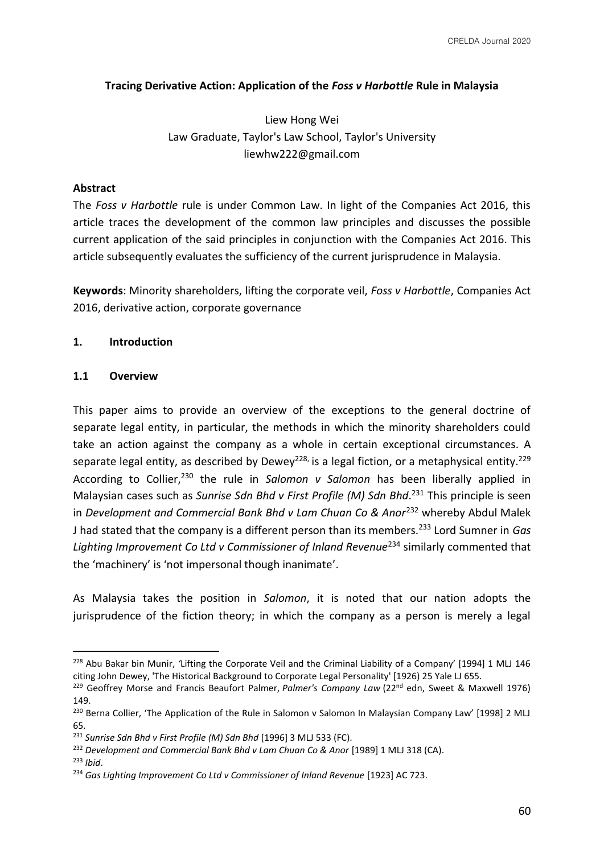# **Tracing Derivative Action: Application of the** *Foss v Harbottle* **Rule in Malaysia**

Liew Hong Wei Law Graduate, Taylor's Law School, Taylor's University liewhw222@gmail.com

## **Abstract**

The *Foss v Harbottle* rule is under Common Law. In light of the Companies Act 2016, this article traces the development of the common law principles and discusses the possible current application of the said principles in conjunction with the Companies Act 2016. This article subsequently evaluates the sufficiency of the current jurisprudence in Malaysia.

**Keywords**: Minority shareholders, lifting the corporate veil, *Foss v Harbottle*, Companies Act 2016, derivative action, corporate governance

## **1. Introduction**

## **1.1 Overview**

This paper aims to provide an overview of the exceptions to the general doctrine of separate legal entity, in particular, the methods in which the minority shareholders could take an action against the company as a whole in certain exceptional circumstances. A separate legal entity, as described by Dewey<sup>228,</sup> is a legal fiction, or a metaphysical entity.<sup>229</sup> According to Collier,<sup>230</sup> the rule in *Salomon v Salomon* has been liberally applied in Malaysian cases such as *Sunrise Sdn Bhd v First Profile (M) Sdn Bhd*. <sup>231</sup> This principle is seen in *Development and Commercial Bank Bhd v Lam Chuan Co & Anor*<sup>232</sup> whereby Abdul Malek J had stated that the company is a different person than its members.<sup>233</sup> Lord Sumner in *Gas*  Lighting Improvement Co Ltd v Commissioner of Inland Revenue<sup>234</sup> similarly commented that the 'machinery' is 'not impersonal though inanimate'.

As Malaysia takes the position in *Salomon*, it is noted that our nation adopts the jurisprudence of the fiction theory; in which the company as a person is merely a legal

<sup>228</sup> Abu Bakar bin Munir, *'*Lifting the Corporate Veil and the Criminal Liability of a Company' [1994] 1 MLJ 146 citing John Dewey, 'The Historical Background to Corporate Legal Personality' [1926) 25 Yale LJ 655.

<sup>&</sup>lt;sup>229</sup> Geoffrey Morse and Francis Beaufort Palmer, *Palmer's Company Law* (22<sup>nd</sup> edn, Sweet & Maxwell 1976) 149.

<sup>&</sup>lt;sup>230</sup> Berna Collier, 'The Application of the Rule in Salomon v Salomon In Malaysian Company Law' [1998] 2 MLJ 65.

<sup>231</sup> *Sunrise Sdn Bhd v First Profile (M) Sdn Bhd* [1996] 3 MLJ 533 (FC).

<sup>232</sup> *Development and Commercial Bank Bhd v Lam Chuan Co & Anor* [1989] 1 MLJ 318 (CA).

<sup>233</sup> *Ibid*.

<sup>234</sup> *Gas Lighting Improvement Co Ltd v Commissioner of Inland Revenue* [1923] AC 723.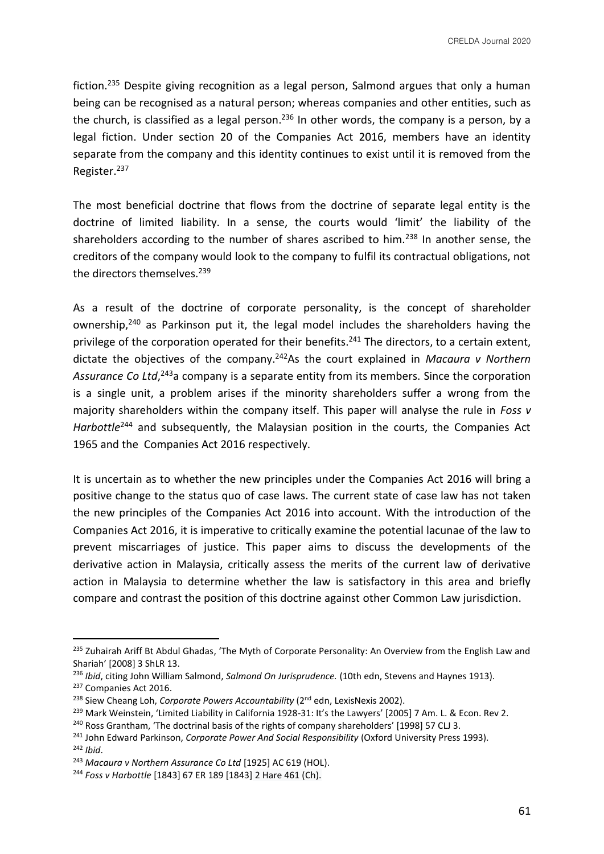fiction.<sup>235</sup> Despite giving recognition as a legal person, Salmond argues that only a human being can be recognised as a natural person; whereas companies and other entities, such as the church, is classified as a legal person.<sup>236</sup> In other words, the company is a person, by a legal fiction. Under section 20 of the Companies Act 2016, members have an identity separate from the company and this identity continues to exist until it is removed from the Register.<sup>237</sup>

The most beneficial doctrine that flows from the doctrine of separate legal entity is the doctrine of limited liability. In a sense, the courts would 'limit' the liability of the shareholders according to the number of shares ascribed to him.<sup>238</sup> In another sense, the creditors of the company would look to the company to fulfil its contractual obligations, not the directors themselves.<sup>239</sup>

As a result of the doctrine of corporate personality, is the concept of shareholder ownership.<sup>240</sup> as Parkinson put it, the legal model includes the shareholders having the privilege of the corporation operated for their benefits.<sup>241</sup> The directors, to a certain extent, dictate the objectives of the company.<sup>242</sup>As the court explained in *Macaura v Northern*  Assurance Co Ltd,<sup>243</sup>a company is a separate entity from its members. Since the corporation is a single unit, a problem arises if the minority shareholders suffer a wrong from the majority shareholders within the company itself. This paper will analyse the rule in *Foss v Harbottle*<sup>244</sup> and subsequently, the Malaysian position in the courts, the Companies Act 1965 and the Companies Act 2016 respectively.

It is uncertain as to whether the new principles under the Companies Act 2016 will bring a positive change to the status quo of case laws. The current state of case law has not taken the new principles of the Companies Act 2016 into account. With the introduction of the Companies Act 2016, it is imperative to critically examine the potential lacunae of the law to prevent miscarriages of justice. This paper aims to discuss the developments of the derivative action in Malaysia, critically assess the merits of the current law of derivative action in Malaysia to determine whether the law is satisfactory in this area and briefly compare and contrast the position of this doctrine against other Common Law jurisdiction.

<sup>&</sup>lt;sup>235</sup> Zuhairah Ariff Bt Abdul Ghadas, 'The Myth of Corporate Personality: An Overview from the English Law and Shariah' [2008] 3 ShLR 13.

<sup>236</sup> *Ibid*, citing John William Salmond, *Salmond On Jurisprudence.* (10th edn, Stevens and Haynes 1913).

<sup>237</sup> Companies Act 2016.

<sup>&</sup>lt;sup>238</sup> Siew Cheang Loh, *Corporate Powers Accountability* (2<sup>nd</sup> edn, LexisNexis 2002).

<sup>&</sup>lt;sup>239</sup> Mark Weinstein, 'Limited Liability in California 1928-31: It's the Lawyers' [2005] 7 Am. L. & Econ. Rev 2.

<sup>&</sup>lt;sup>240</sup> Ross Grantham, 'The doctrinal basis of the rights of company shareholders' [1998] 57 CLJ 3.

<sup>241</sup> John Edward Parkinson, *Corporate Power And Social Responsibility* (Oxford University Press 1993). <sup>242</sup> *Ibid*.

<sup>243</sup> *Macaura v Northern Assurance Co Ltd* [1925] AC 619 (HOL).

<sup>244</sup> *Foss v Harbottle* [1843] 67 ER 189 [1843] 2 Hare 461 (Ch).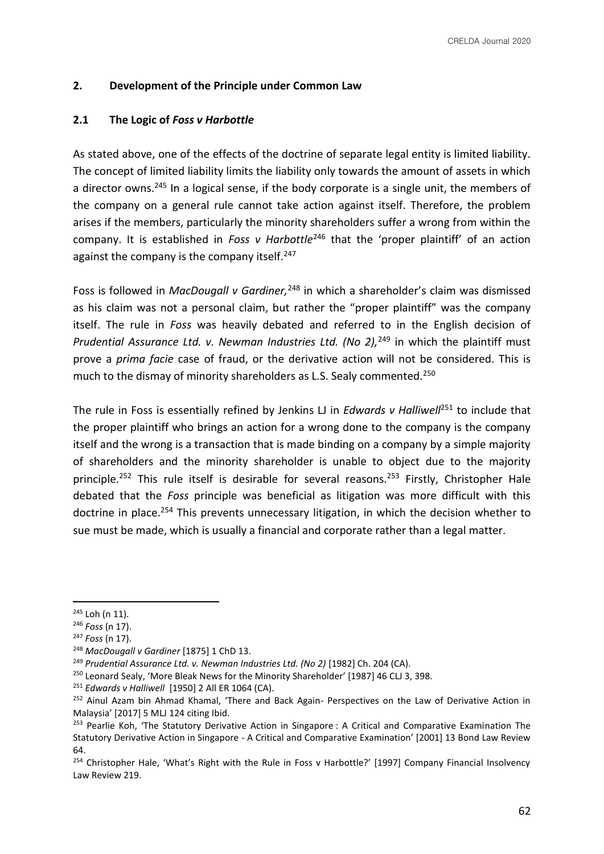## **2. Development of the Principle under Common Law**

### **2.1 The Logic of** *Foss v Harbottle*

As stated above, one of the effects of the doctrine of separate legal entity is limited liability. The concept of limited liability limits the liability only towards the amount of assets in which a director owns.<sup>245</sup> In a logical sense, if the body corporate is a single unit, the members of the company on a general rule cannot take action against itself. Therefore, the problem arises if the members, particularly the minority shareholders suffer a wrong from within the company. It is established in *Foss v Harbottle*<sup>246</sup> that the 'proper plaintiff' of an action against the company is the company itself.<sup>247</sup>

Foss is followed in *MacDougall v Gardiner*,<sup>248</sup> in which a shareholder's claim was dismissed as his claim was not a personal claim, but rather the "proper plaintiff" was the company itself. The rule in *Foss* was heavily debated and referred to in the English decision of *Prudential Assurance Ltd. v. Newman Industries Ltd. (No 2)*<sup>249</sup> in which the plaintiff must prove a *prima facie* case of fraud, or the derivative action will not be considered. This is much to the dismay of minority shareholders as L.S. Sealy commented.<sup>250</sup>

The rule in Foss is essentially refined by Jenkins LJ in *Edwards v Halliwell*<sup>251</sup> to include that the proper plaintiff who brings an action for a wrong done to the company is the company itself and the wrong is a transaction that is made binding on a company by a simple majority of shareholders and the minority shareholder is unable to object due to the majority principle.<sup>252</sup> This rule itself is desirable for several reasons.<sup>253</sup> Firstly, Christopher Hale debated that the *Foss* principle was beneficial as litigation was more difficult with this doctrine in place.<sup>254</sup> This prevents unnecessary litigation, in which the decision whether to sue must be made, which is usually a financial and corporate rather than a legal matter.

 $245$  Loh (n 11).

<sup>246</sup> *Foss* (n 17).

<sup>247</sup> *Foss* (n 17).

<sup>248</sup> *MacDougall v Gardiner* [1875] 1 ChD 13.

<sup>249</sup> *Prudential Assurance Ltd. v. Newman Industries Ltd. (No 2)* [1982] Ch. 204 (CA).

<sup>&</sup>lt;sup>250</sup> Leonard Sealy, 'More Bleak News for the Minority Shareholder' [1987] 46 CLJ 3, 398.

<sup>251</sup> *Edwards v Halliwell* [1950] 2 All ER 1064 (CA).

<sup>&</sup>lt;sup>252</sup> Ainul Azam bin Ahmad Khamal, 'There and Back Again- Perspectives on the Law of Derivative Action in Malaysia' [2017] 5 MLJ 124 citing Ibid.

<sup>&</sup>lt;sup>253</sup> Pearlie Koh, 'The Statutory Derivative Action in Singapore : A Critical and Comparative Examination The Statutory Derivative Action in Singapore - A Critical and Comparative Examination' [2001] 13 Bond Law Review 64.

<sup>&</sup>lt;sup>254</sup> Christopher Hale, 'What's Right with the Rule in Foss v Harbottle?' [1997] Company Financial Insolvency Law Review 219.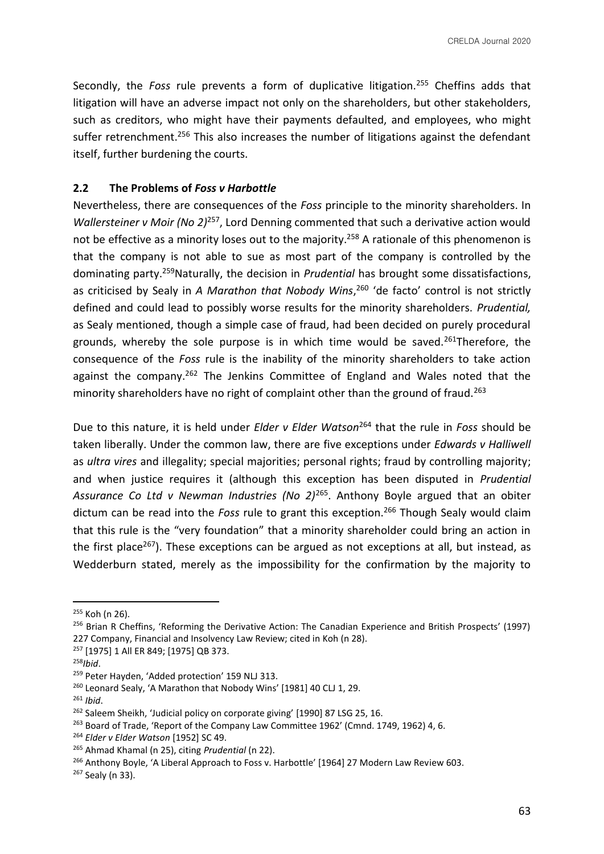Secondly, the *Foss* rule prevents a form of duplicative litigation.<sup>255</sup> Cheffins adds that litigation will have an adverse impact not only on the shareholders, but other stakeholders, such as creditors, who might have their payments defaulted, and employees, who might suffer retrenchment.<sup>256</sup> This also increases the number of litigations against the defendant itself, further burdening the courts.

## **2.2 The Problems of** *Foss v Harbottle*

Nevertheless, there are consequences of the *Foss* principle to the minority shareholders. In *Wallersteiner v Moir (No 2)*<sup>257</sup>, Lord Denning commented that such a derivative action would not be effective as a minority loses out to the majority.<sup>258</sup> A rationale of this phenomenon is that the company is not able to sue as most part of the company is controlled by the dominating party.<sup>259</sup>Naturally, the decision in *Prudential* has brought some dissatisfactions, as criticised by Sealy in *A Marathon that Nobody Wins*, <sup>260</sup> 'de facto' control is not strictly defined and could lead to possibly worse results for the minority shareholders. *Prudential,*  as Sealy mentioned, though a simple case of fraud, had been decided on purely procedural grounds, whereby the sole purpose is in which time would be saved.<sup>261</sup>Therefore, the consequence of the *Foss* rule is the inability of the minority shareholders to take action against the company.<sup>262</sup> The Jenkins Committee of England and Wales noted that the minority shareholders have no right of complaint other than the ground of fraud.<sup>263</sup>

Due to this nature, it is held under *Elder v Elder Watson*<sup>264</sup> that the rule in *Foss* should be taken liberally. Under the common law, there are five exceptions under *Edwards v Halliwell*  as *ultra vires* and illegality; special majorities; personal rights; fraud by controlling majority; and when justice requires it (although this exception has been disputed in *Prudential Assurance Co Ltd v Newman Industries (No 2)*<sup>265</sup>. Anthony Boyle argued that an obiter dictum can be read into the *Foss* rule to grant this exception.<sup>266</sup> Though Sealy would claim that this rule is the "very foundation" that a minority shareholder could bring an action in the first place<sup>267</sup>). These exceptions can be argued as not exceptions at all, but instead, as Wedderburn stated, merely as the impossibility for the confirmation by the majority to

<sup>261</sup> *Ibid*.

 $255$  Koh (n 26).

<sup>256</sup> Brian R Cheffins, 'Reforming the Derivative Action: The Canadian Experience and British Prospects' (1997) 227 Company, Financial and Insolvency Law Review; cited in Koh (n 28).

<sup>257</sup> [1975] 1 All ER 849; [1975] QB 373.

<sup>258</sup>*Ibid*.

<sup>&</sup>lt;sup>259</sup> Peter Hayden, 'Added protection' 159 NLJ 313.

<sup>&</sup>lt;sup>260</sup> Leonard Sealy, 'A Marathon that Nobody Wins' [1981] 40 CLJ 1, 29.

<sup>&</sup>lt;sup>262</sup> Saleem Sheikh, 'Judicial policy on corporate giving' [1990] 87 LSG 25, 16.

<sup>&</sup>lt;sup>263</sup> Board of Trade, 'Report of the Company Law Committee 1962' (Cmnd. 1749, 1962) 4, 6.

<sup>264</sup> *Elder v Elder Watson* [1952] SC 49.

<sup>265</sup> Ahmad Khamal (n 25), citing *Prudential* (n 22).

<sup>266</sup> Anthony Boyle, 'A Liberal Approach to Foss v. Harbottle' [1964] 27 Modern Law Review 603.

<sup>267</sup> Sealy (n 33).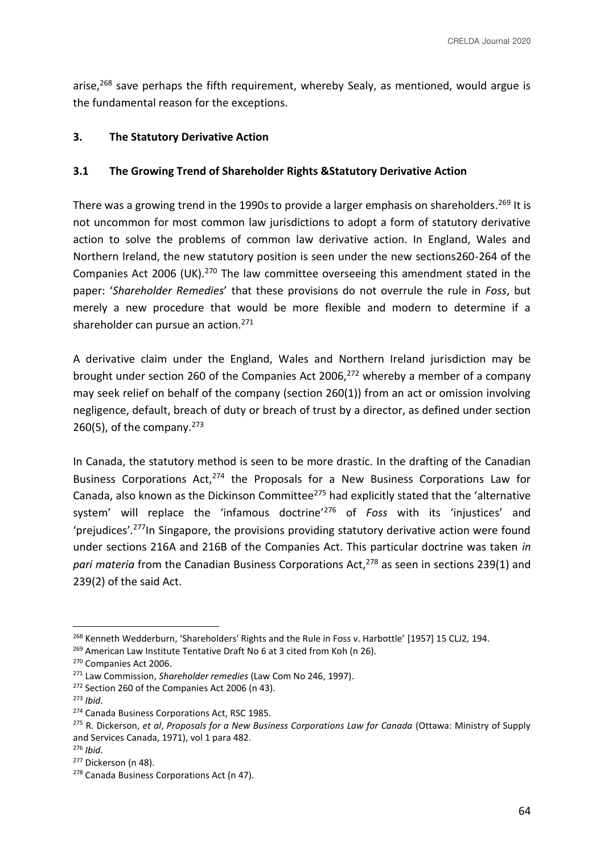arise, $268$  save perhaps the fifth requirement, whereby Sealy, as mentioned, would argue is the fundamental reason for the exceptions.

## **3. The Statutory Derivative Action**

### **3.1 The Growing Trend of Shareholder Rights &Statutory Derivative Action**

There was a growing trend in the 1990s to provide a larger emphasis on shareholders.<sup>269</sup> It is not uncommon for most common law jurisdictions to adopt a form of statutory derivative action to solve the problems of common law derivative action. In England, Wales and Northern Ireland, the new statutory position is seen under the new sections260-264 of the Companies Act 2006 (UK).<sup>270</sup> The law committee overseeing this amendment stated in the paper: '*Shareholder Remedies*' that these provisions do not overrule the rule in *Foss*, but merely a new procedure that would be more flexible and modern to determine if a shareholder can pursue an action.<sup>271</sup>

A derivative claim under the England, Wales and Northern Ireland jurisdiction may be brought under section 260 of the Companies Act 2006, $272$  whereby a member of a company may seek relief on behalf of the company (section 260(1)) from an act or omission involving negligence, default, breach of duty or breach of trust by a director, as defined under section 260(5), of the company. $273$ 

In Canada, the statutory method is seen to be more drastic. In the drafting of the Canadian Business Corporations Act, $274$  the Proposals for a New Business Corporations Law for Canada, also known as the Dickinson Committee<sup>275</sup> had explicitly stated that the 'alternative system' will replace the 'infamous doctrine'<sup>276</sup> of *Foss* with its 'injustices' and 'prejudices'*.* <sup>277</sup>In Singapore, the provisions providing statutory derivative action were found under sections 216A and 216B of the Companies Act. This particular doctrine was taken *in pari materia* from the Canadian Business Corporations Act,<sup>278</sup> as seen in sections 239(1) and 239(2) of the said Act.

<sup>268</sup> Kenneth Wedderburn, 'Shareholders' Rights and the Rule in Foss v. Harbottle' [1957] 15 CLJ2*,* 194.

<sup>&</sup>lt;sup>269</sup> American Law Institute Tentative Draft No 6 at 3 cited from Koh (n 26).

<sup>270</sup> Companies Act 2006.

<sup>271</sup> Law Commission, *Shareholder remedies* (Law Com No 246, 1997).

<sup>&</sup>lt;sup>272</sup> Section 260 of the Companies Act 2006 (n 43).

<sup>273</sup> *Ibid*.

<sup>&</sup>lt;sup>274</sup> Canada Business Corporations Act, RSC 1985.

<sup>275</sup> R. Dickerson, *et al*, *Proposals for a New Business Corporations Law for Canada* (Ottawa: Ministry of Supply and Services Canada, 1971), vol 1 para 482.

<sup>276</sup> *Ibid*.

<sup>&</sup>lt;sup>277</sup> Dickerson (n 48).

<sup>&</sup>lt;sup>278</sup> Canada Business Corporations Act (n 47).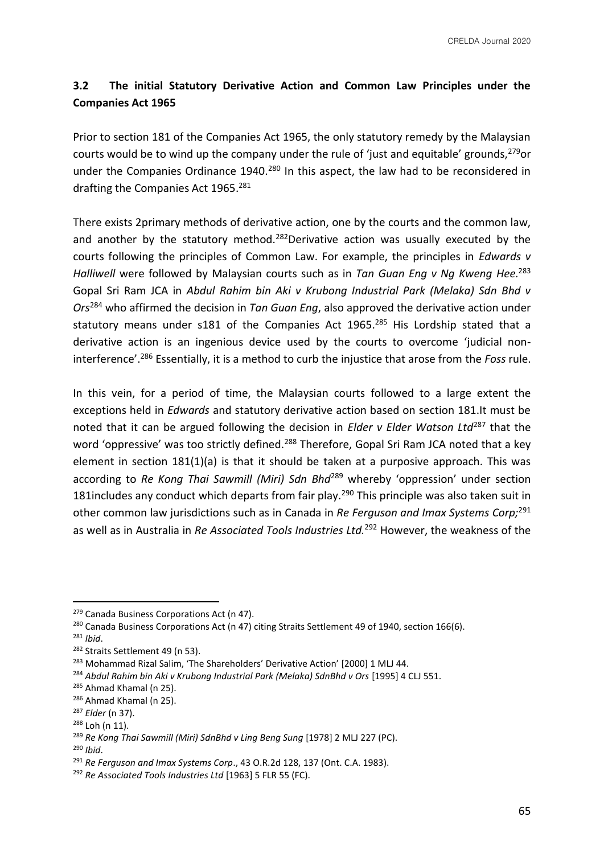# **3.2 The initial Statutory Derivative Action and Common Law Principles under the Companies Act 1965**

Prior to section 181 of the Companies Act 1965, the only statutory remedy by the Malaysian courts would be to wind up the company under the rule of 'just and equitable' grounds, <sup>279</sup>or under the Companies Ordinance 1940.<sup>280</sup> In this aspect, the law had to be reconsidered in drafting the Companies Act 1965. 281

There exists 2primary methods of derivative action, one by the courts and the common law, and another by the statutory method.<sup>282</sup>Derivative action was usually executed by the courts following the principles of Common Law. For example, the principles in *Edwards v Halliwell* were followed by Malaysian courts such as in *Tan Guan Eng v Ng Kweng Hee.*<sup>283</sup> Gopal Sri Ram JCA in *Abdul Rahim bin Aki v Krubong Industrial Park (Melaka) Sdn Bhd v Ors*<sup>284</sup> who affirmed the decision in *Tan Guan Eng*, also approved the derivative action under statutory means under s181 of the Companies Act 1965.<sup>285</sup> His Lordship stated that a derivative action is an ingenious device used by the courts to overcome 'judicial noninterference'.<sup>286</sup> Essentially, it is a method to curb the injustice that arose from the *Foss* rule.

In this vein, for a period of time, the Malaysian courts followed to a large extent the exceptions held in *Edwards* and statutory derivative action based on section 181.It must be noted that it can be argued following the decision in *Elder v Elder Watson Ltd*<sup>287</sup> that the word 'oppressive' was too strictly defined.<sup>288</sup> Therefore, Gopal Sri Ram JCA noted that a key element in section 181(1)(a) is that it should be taken at a purposive approach. This was according to *Re Kong Thai Sawmill (Miri) Sdn Bhd*<sup>289</sup> whereby 'oppression' under section 181 includes any conduct which departs from fair play.<sup>290</sup> This principle was also taken suit in other common law jurisdictions such as in Canada in *Re Ferguson and Imax Systems Corp;*<sup>291</sup> as well as in Australia in *Re Associated Tools Industries Ltd.*<sup>292</sup> However, the weakness of the

<sup>&</sup>lt;sup>279</sup> Canada Business Corporations Act (n 47).

<sup>&</sup>lt;sup>280</sup> Canada Business Corporations Act (n 47) citing Straits Settlement 49 of 1940, section 166(6).

<sup>281</sup> *Ibid*.

<sup>&</sup>lt;sup>282</sup> Straits Settlement 49 (n 53).

<sup>&</sup>lt;sup>283</sup> Mohammad Rizal Salim, 'The Shareholders' Derivative Action' [2000] 1 MLJ 44.

<sup>&</sup>lt;sup>284</sup> Abdul Rahim bin Aki v Krubong Industrial Park (Melaka) SdnBhd v Ors [1995] 4 CLJ 551.

<sup>&</sup>lt;sup>285</sup> Ahmad Khamal (n 25).

<sup>286</sup> Ahmad Khamal (n 25).

<sup>287</sup> *Elder* (n 37).

<sup>288</sup> Loh (n 11).

<sup>289</sup> *Re Kong Thai Sawmill (Miri) SdnBhd v Ling Beng Sung* [1978] 2 MLJ 227 (PC).

<sup>290</sup> *Ibid*.

<sup>291</sup> *Re Ferguson and Imax Systems Corp*., 43 O.R.2d 128, 137 (Ont. C.A. 1983).

<sup>292</sup> *Re Associated Tools Industries Ltd* [1963] 5 FLR 55 (FC).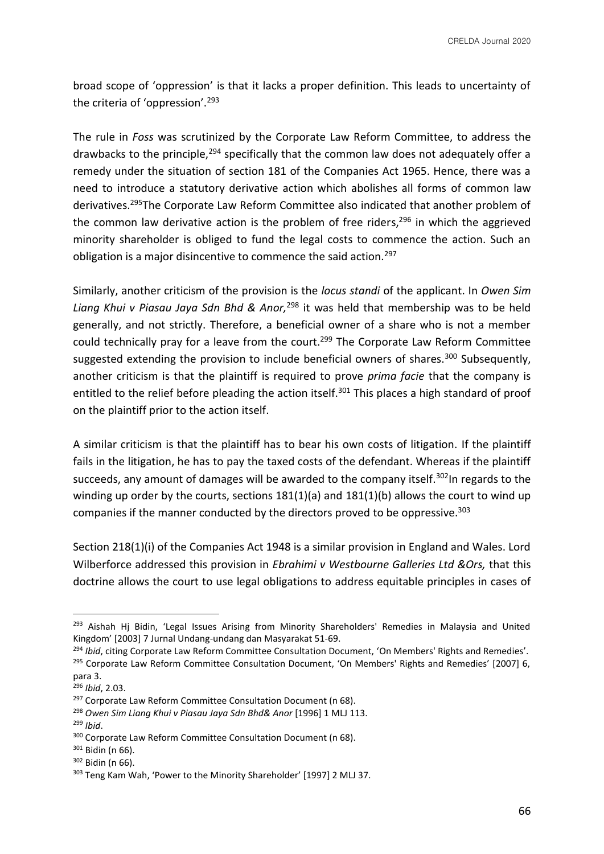broad scope of 'oppression' is that it lacks a proper definition. This leads to uncertainty of the criteria of 'oppression'.<sup>293</sup>

The rule in *Foss* was scrutinized by the Corporate Law Reform Committee, to address the drawbacks to the principle,<sup>294</sup> specifically that the common law does not adequately offer a remedy under the situation of section 181 of the Companies Act 1965. Hence, there was a need to introduce a statutory derivative action which abolishes all forms of common law derivatives.<sup>295</sup>The Corporate Law Reform Committee also indicated that another problem of the common law derivative action is the problem of free riders,<sup>296</sup> in which the aggrieved minority shareholder is obliged to fund the legal costs to commence the action. Such an obligation is a major disincentive to commence the said action.<sup>297</sup>

Similarly, another criticism of the provision is the *locus standi* of the applicant. In *Owen Sim Liang Khui v Piasau Jaya Sdn Bhd & Anor,*<sup>298</sup> it was held that membership was to be held generally, and not strictly. Therefore, a beneficial owner of a share who is not a member could technically pray for a leave from the court.<sup>299</sup> The Corporate Law Reform Committee suggested extending the provision to include beneficial owners of shares.<sup>300</sup> Subsequently, another criticism is that the plaintiff is required to prove *prima facie* that the company is entitled to the relief before pleading the action itself.<sup>301</sup> This places a high standard of proof on the plaintiff prior to the action itself.

A similar criticism is that the plaintiff has to bear his own costs of litigation. If the plaintiff fails in the litigation, he has to pay the taxed costs of the defendant. Whereas if the plaintiff succeeds, any amount of damages will be awarded to the company itself.<sup>302</sup>In regards to the winding up order by the courts, sections 181(1)(a) and 181(1)(b) allows the court to wind up companies if the manner conducted by the directors proved to be oppressive.<sup>303</sup>

Section 218(1)(i) of the Companies Act 1948 is a similar provision in England and Wales. Lord Wilberforce addressed this provision in *Ebrahimi v Westbourne Galleries Ltd &Ors,* that this doctrine allows the court to use legal obligations to address equitable principles in cases of

<sup>298</sup> *Owen Sim Liang Khui v Piasau Jaya Sdn Bhd& Anor* [1996] 1 MLJ 113.

<sup>&</sup>lt;sup>293</sup> Aishah Hj Bidin, 'Legal Issues Arising from Minority Shareholders' Remedies in Malaysia and United Kingdom' [2003] 7 Jurnal Undang-undang dan Masyarakat 51-69.

<sup>&</sup>lt;sup>294</sup> *Ibid*, citing Corporate Law Reform Committee Consultation Document, 'On Members' Rights and Remedies'.

<sup>&</sup>lt;sup>295</sup> Corporate Law Reform Committee Consultation Document, 'On Members' Rights and Remedies' [2007] 6, para 3.

<sup>296</sup> *Ibid*, 2.03.

 $297$  Corporate Law Reform Committee Consultation Document (n 68).

<sup>299</sup> *Ibid*.

<sup>&</sup>lt;sup>300</sup> Corporate Law Reform Committee Consultation Document (n 68).

<sup>301</sup> Bidin (n 66).

<sup>302</sup> Bidin (n 66).

<sup>303</sup> Teng Kam Wah, 'Power to the Minority Shareholder' [1997] 2 MLJ 37.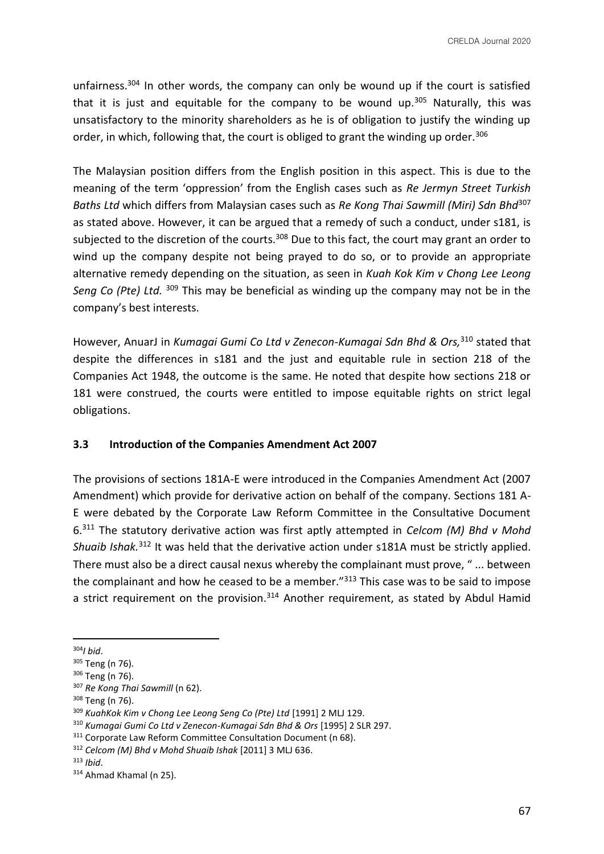unfairness.<sup>304</sup> In other words, the company can only be wound up if the court is satisfied that it is just and equitable for the company to be wound up.<sup>305</sup> Naturally, this was unsatisfactory to the minority shareholders as he is of obligation to justify the winding up order, in which, following that, the court is obliged to grant the winding up order.<sup>306</sup>

The Malaysian position differs from the English position in this aspect. This is due to the meaning of the term 'oppression' from the English cases such as *Re Jermyn Street Turkish Baths Ltd* which differs from Malaysian cases such as *Re Kong Thai Sawmill (Miri) Sdn Bhd*<sup>307</sup> as stated above. However, it can be argued that a remedy of such a conduct, under s181, is subjected to the discretion of the courts.<sup>308</sup> Due to this fact, the court may grant an order to wind up the company despite not being prayed to do so, or to provide an appropriate alternative remedy depending on the situation, as seen in *Kuah Kok Kim v Chong Lee Leong Seng Co (Pte) Ltd.* <sup>309</sup> This may be beneficial as winding up the company may not be in the company's best interests.

However, AnuarJ in *Kumagai Gumi Co Ltd v Zenecon-Kumagai Sdn Bhd & Ors,*<sup>310</sup> stated that despite the differences in s181 and the just and equitable rule in section 218 of the Companies Act 1948, the outcome is the same. He noted that despite how sections 218 or 181 were construed, the courts were entitled to impose equitable rights on strict legal obligations.

#### **3.3 Introduction of the Companies Amendment Act 2007**

The provisions of sections 181A-E were introduced in the Companies Amendment Act (2007 Amendment) which provide for derivative action on behalf of the company. Sections 181 A-E were debated by the Corporate Law Reform Committee in the Consultative Document 6.<sup>311</sup> The statutory derivative action was first aptly attempted in *Celcom (M) Bhd v Mohd Shuaib Ishak.*<sup>312</sup> It was held that the derivative action under s181A must be strictly applied. There must also be a direct causal nexus whereby the complainant must prove, " ... between the complainant and how he ceased to be a member."<sup>313</sup> This case was to be said to impose a strict requirement on the provision. $314$  Another requirement, as stated by Abdul Hamid

<sup>304</sup>*I bid*.

<sup>305</sup> Teng (n 76).

<sup>306</sup> Teng (n 76).

<sup>307</sup> *Re Kong Thai Sawmill* (n 62).

<sup>308</sup> Teng (n 76).

<sup>309</sup> *KuahKok Kim v Chong Lee Leong Seng Co (Pte) Ltd* [1991] 2 MLJ 129.

<sup>310</sup> *Kumagai Gumi Co Ltd v Zenecon-Kumagai Sdn Bhd & Ors* [1995] 2 SLR 297.

<sup>&</sup>lt;sup>311</sup> Corporate Law Reform Committee Consultation Document (n 68).

<sup>312</sup> *Celcom (M) Bhd v Mohd Shuaib Ishak* [2011] 3 MLJ 636.

<sup>313</sup> *Ibid*.

<sup>314</sup> Ahmad Khamal (n 25).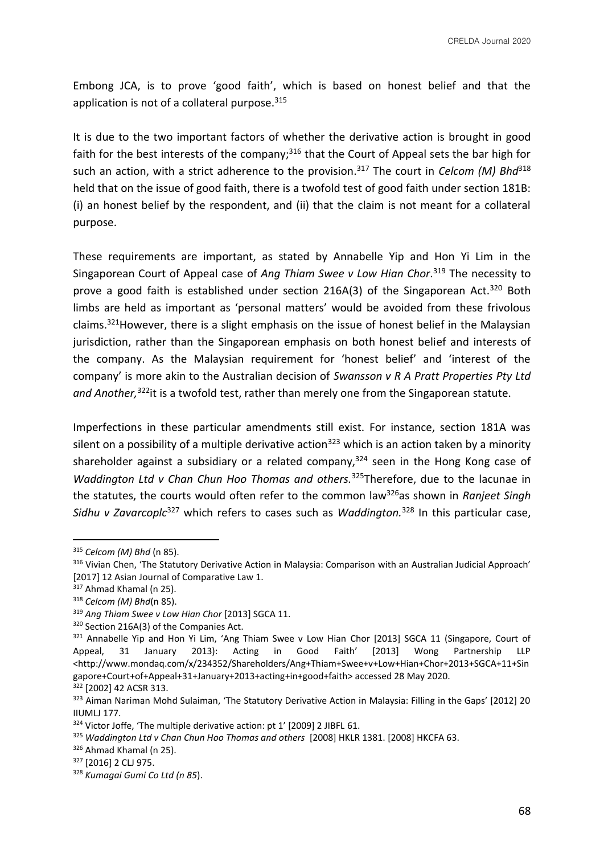Embong JCA, is to prove 'good faith', which is based on honest belief and that the application is not of a collateral purpose.<sup>315</sup>

It is due to the two important factors of whether the derivative action is brought in good faith for the best interests of the company; $316$  that the Court of Appeal sets the bar high for such an action, with a strict adherence to the provision.<sup>317</sup> The court in *Celcom (M) Bhd*<sup>318</sup> held that on the issue of good faith, there is a twofold test of good faith under section 181B: (i) an honest belief by the respondent, and (ii) that the claim is not meant for a collateral purpose.

These requirements are important, as stated by Annabelle Yip and Hon Yi Lim in the Singaporean Court of Appeal case of *Ang Thiam Swee v Low Hian Chor*. <sup>319</sup> The necessity to prove a good faith is established under section 216A(3) of the Singaporean Act.<sup>320</sup> Both limbs are held as important as 'personal matters' would be avoided from these frivolous claims.<sup>321</sup>However, there is a slight emphasis on the issue of honest belief in the Malaysian jurisdiction, rather than the Singaporean emphasis on both honest belief and interests of the company. As the Malaysian requirement for 'honest belief' and 'interest of the company' is more akin to the Australian decision of *Swansson v R A Pratt Properties Pty Ltd*  and Another,<sup>322</sup>it is a twofold test, rather than merely one from the Singaporean statute.

Imperfections in these particular amendments still exist. For instance, section 181A was silent on a possibility of a multiple derivative action<sup>323</sup> which is an action taken by a minority shareholder against a subsidiary or a related company, $324$  seen in the Hong Kong case of *Waddington Ltd v Chan Chun Hoo Thomas and others.*<sup>325</sup>Therefore, due to the lacunae in the statutes, the courts would often refer to the common law<sup>326</sup>as shown in *Ranieet Singh Sidhu v Zavarcoplc*<sup>327</sup> which refers to cases such as *Waddington.*<sup>328</sup> In this particular case,

<sup>315</sup> *Celcom (M) Bhd* (n 85).

<sup>&</sup>lt;sup>316</sup> Vivian Chen, 'The Statutory Derivative Action in Malaysia: Comparison with an Australian Judicial Approach' [2017] 12 Asian Journal of Comparative Law 1.

<sup>&</sup>lt;sup>317</sup> Ahmad Khamal (n 25).

<sup>318</sup> *Celcom (M) Bhd*(n 85).

<sup>319</sup> *Ang Thiam Swee v Low Hian Chor* [2013] SGCA 11.

<sup>320</sup> Section 216A(3) of the Companies Act.

<sup>321</sup> Annabelle Yip and Hon Yi Lim, 'Ang Thiam Swee v Low Hian Chor [2013] SGCA 11 (Singapore, Court of Appeal, 31 January 2013): Acting in Good Faith' [2013] Wong Partnership LLP <http://www.mondaq.com/x/234352/Shareholders/Ang+Thiam+Swee+v+Low+Hian+Chor+2013+SGCA+11+Sin gapore+Court+of+Appeal+31+January+2013+acting+in+good+faith> accessed 28 May 2020.

<sup>322</sup> [2002] 42 ACSR 313.

<sup>&</sup>lt;sup>323</sup> Aiman Nariman Mohd Sulaiman, 'The Statutory Derivative Action in Malaysia: Filling in the Gaps' [2012] 20 IIUMLJ 177.

<sup>&</sup>lt;sup>324</sup> Victor Joffe, 'The multiple derivative action: pt 1' [2009] 2 JIBFL 61.

<sup>&</sup>lt;sup>325</sup> Waddington Ltd v Chan Chun Hoo Thomas and others [2008] HKLR 1381. [2008] HKCFA 63.

<sup>326</sup> Ahmad Khamal (n 25).

<sup>327</sup> [2016] 2 CLJ 975.

<sup>328</sup> *Kumagai Gumi Co Ltd (n 85*).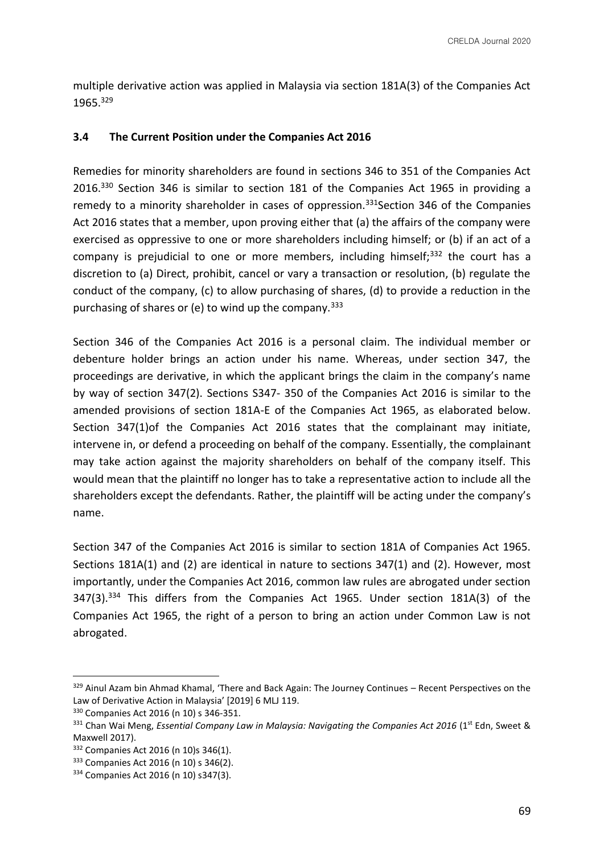multiple derivative action was applied in Malaysia via section 181A(3) of the Companies Act 1965.<sup>329</sup>

#### **3.4 The Current Position under the Companies Act 2016**

Remedies for minority shareholders are found in sections 346 to 351 of the Companies Act 2016.<sup>330</sup> Section 346 is similar to section 181 of the Companies Act 1965 in providing a remedy to a minority shareholder in cases of oppression.<sup>331</sup> Section 346 of the Companies Act 2016 states that a member, upon proving either that (a) the affairs of the company were exercised as oppressive to one or more shareholders including himself; or (b) if an act of a company is prejudicial to one or more members, including himself;<sup>332</sup> the court has a discretion to (a) Direct, prohibit, cancel or vary a transaction or resolution, (b) regulate the conduct of the company, (c) to allow purchasing of shares, (d) to provide a reduction in the purchasing of shares or (e) to wind up the company.<sup>333</sup>

Section 346 of the Companies Act 2016 is a personal claim. The individual member or debenture holder brings an action under his name. Whereas, under section 347, the proceedings are derivative, in which the applicant brings the claim in the company's name by way of section 347(2). Sections S347- 350 of the Companies Act 2016 is similar to the amended provisions of section 181A-E of the Companies Act 1965, as elaborated below. Section 347(1)of the Companies Act 2016 states that the complainant may initiate, intervene in, or defend a proceeding on behalf of the company. Essentially, the complainant may take action against the majority shareholders on behalf of the company itself. This would mean that the plaintiff no longer has to take a representative action to include all the shareholders except the defendants. Rather, the plaintiff will be acting under the company's name.

Section 347 of the Companies Act 2016 is similar to section 181A of Companies Act 1965. Sections 181A(1) and (2) are identical in nature to sections 347(1) and (2). However, most importantly, under the Companies Act 2016, common law rules are abrogated under section 347(3).<sup>334</sup> This differs from the Companies Act 1965. Under section 181A(3) of the Companies Act 1965, the right of a person to bring an action under Common Law is not abrogated.

<sup>329</sup> Ainul Azam bin Ahmad Khamal, 'There and Back Again: The Journey Continues – Recent Perspectives on the Law of Derivative Action in Malaysia' [2019] 6 MLJ 119.

<sup>330</sup> Companies Act 2016 (n 10) s 346-351.

<sup>331</sup> Chan Wai Meng, *Essential Company Law in Malaysia: Navigating the Companies Act 2016* (1<sup>st</sup> Edn, Sweet & Maxwell 2017).

<sup>332</sup> Companies Act 2016 (n 10)s 346(1).

<sup>333</sup> Companies Act 2016 (n 10) s 346(2).

<sup>334</sup> Companies Act 2016 (n 10) s347(3).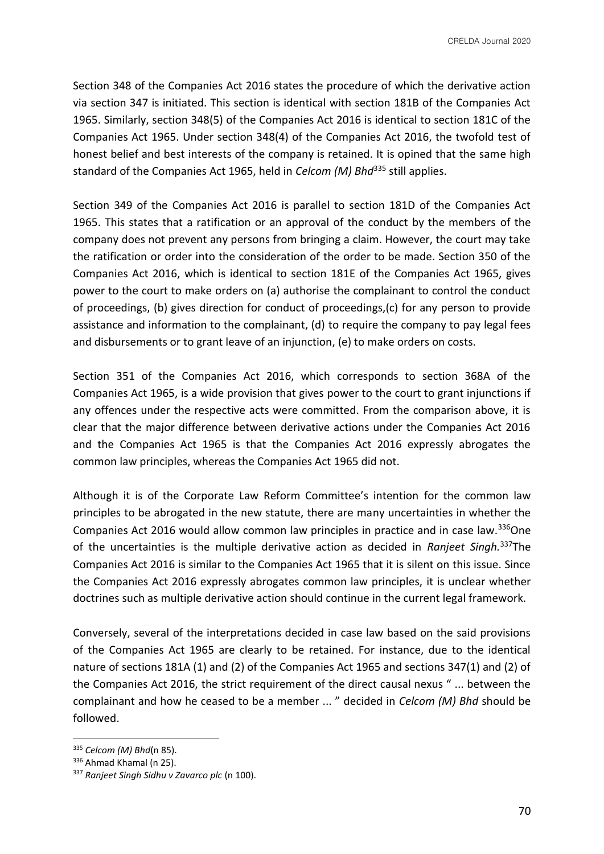Section 348 of the Companies Act 2016 states the procedure of which the derivative action via section 347 is initiated. This section is identical with section 181B of the Companies Act 1965. Similarly, section 348(5) of the Companies Act 2016 is identical to section 181C of the Companies Act 1965. Under section 348(4) of the Companies Act 2016, the twofold test of honest belief and best interests of the company is retained. It is opined that the same high standard of the Companies Act 1965, held in *Celcom (M) Bhd*<sup>335</sup> still applies.

Section 349 of the Companies Act 2016 is parallel to section 181D of the Companies Act 1965. This states that a ratification or an approval of the conduct by the members of the company does not prevent any persons from bringing a claim. However, the court may take the ratification or order into the consideration of the order to be made. Section 350 of the Companies Act 2016, which is identical to section 181E of the Companies Act 1965, gives power to the court to make orders on (a) authorise the complainant to control the conduct of proceedings, (b) gives direction for conduct of proceedings,(c) for any person to provide assistance and information to the complainant, (d) to require the company to pay legal fees and disbursements or to grant leave of an injunction, (e) to make orders on costs.

Section 351 of the Companies Act 2016, which corresponds to section 368A of the Companies Act 1965, is a wide provision that gives power to the court to grant injunctions if any offences under the respective acts were committed. From the comparison above, it is clear that the major difference between derivative actions under the Companies Act 2016 and the Companies Act 1965 is that the Companies Act 2016 expressly abrogates the common law principles, whereas the Companies Act 1965 did not.

Although it is of the Corporate Law Reform Committee's intention for the common law principles to be abrogated in the new statute, there are many uncertainties in whether the Companies Act 2016 would allow common law principles in practice and in case law.<sup>336</sup>One of the uncertainties is the multiple derivative action as decided in *Ranjeet Singh.*<sup>337</sup>The Companies Act 2016 is similar to the Companies Act 1965 that it is silent on this issue. Since the Companies Act 2016 expressly abrogates common law principles, it is unclear whether doctrines such as multiple derivative action should continue in the current legal framework.

Conversely, several of the interpretations decided in case law based on the said provisions of the Companies Act 1965 are clearly to be retained. For instance, due to the identical nature of sections 181A (1) and (2) of the Companies Act 1965 and sections 347(1) and (2) of the Companies Act 2016, the strict requirement of the direct causal nexus " ... between the complainant and how he ceased to be a member ... " decided in *Celcom (M) Bhd* should be followed.

<sup>335</sup> *Celcom (M) Bhd*(n 85).

<sup>336</sup> Ahmad Khamal (n 25).

<sup>337</sup> *Ranjeet Singh Sidhu v Zavarco plc* (n 100).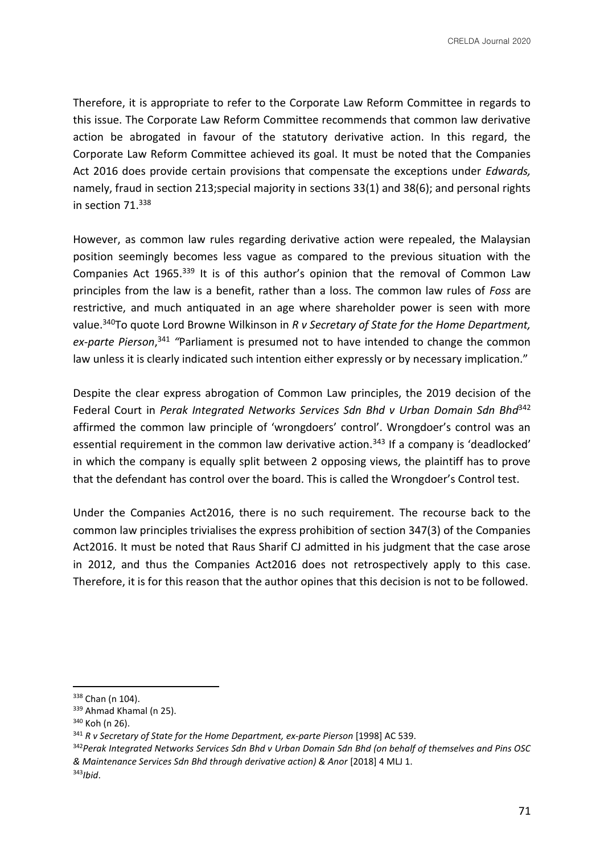CRELDA Journal 2020

Therefore, it is appropriate to refer to the Corporate Law Reform Committee in regards to this issue. The Corporate Law Reform Committee recommends that common law derivative action be abrogated in favour of the statutory derivative action. In this regard, the Corporate Law Reform Committee achieved its goal. It must be noted that the Companies Act 2016 does provide certain provisions that compensate the exceptions under *Edwards,*  namely, fraud in section 213;special majority in sections 33(1) and 38(6); and personal rights in section 71.<sup>338</sup>

However, as common law rules regarding derivative action were repealed, the Malaysian position seemingly becomes less vague as compared to the previous situation with the Companies Act 1965.<sup>339</sup> It is of this author's opinion that the removal of Common Law principles from the law is a benefit, rather than a loss. The common law rules of *Foss* are restrictive, and much antiquated in an age where shareholder power is seen with more value.<sup>340</sup>To quote Lord Browne Wilkinson in *R v Secretary of State for the Home Department,*  ex-parte Pierson,<sup>341</sup> "Parliament is presumed not to have intended to change the common law unless it is clearly indicated such intention either expressly or by necessary implication."

Despite the clear express abrogation of Common Law principles, the 2019 decision of the Federal Court in *Perak Integrated Networks Services Sdn Bhd v Urban Domain Sdn Bhd*<sup>342</sup> affirmed the common law principle of 'wrongdoers' control'. Wrongdoer's control was an essential requirement in the common law derivative action.<sup>343</sup> If a company is 'deadlocked' in which the company is equally split between 2 opposing views, the plaintiff has to prove that the defendant has control over the board. This is called the Wrongdoer's Control test.

Under the Companies Act2016, there is no such requirement. The recourse back to the common law principles trivialises the express prohibition of section 347(3) of the Companies Act2016. It must be noted that Raus Sharif CJ admitted in his judgment that the case arose in 2012, and thus the Companies Act2016 does not retrospectively apply to this case. Therefore, it is for this reason that the author opines that this decision is not to be followed.

343*Ibid*.

<sup>338</sup> Chan (n 104).

<sup>339</sup> Ahmad Khamal (n 25).

<sup>340</sup> Koh (n 26).

<sup>341</sup> *R v Secretary of State for the Home Department, ex-parte Pierson* [1998] AC 539.

<sup>342</sup>*Perak Integrated Networks Services Sdn Bhd v Urban Domain Sdn Bhd (on behalf of themselves and Pins OSC & Maintenance Services Sdn Bhd through derivative action) & Anor* [2018] 4 MLJ 1.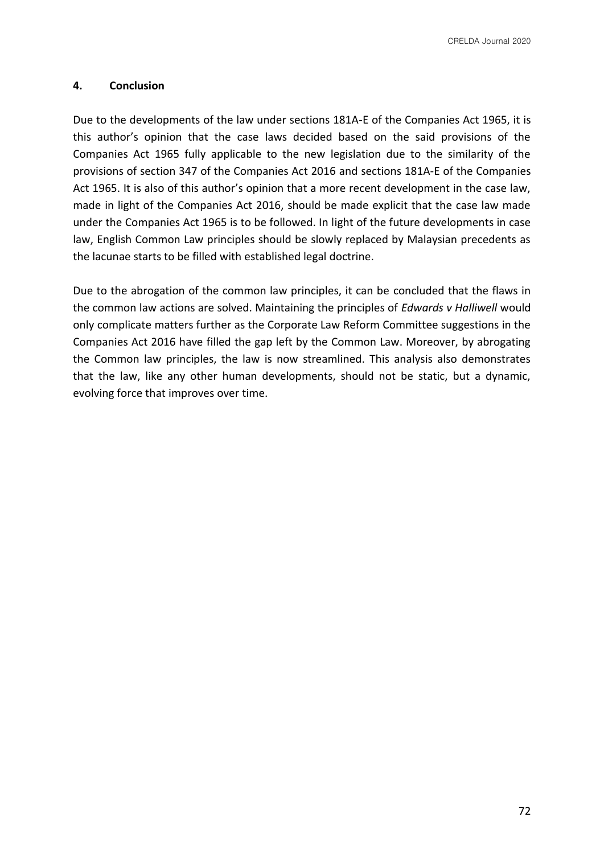#### **4. Conclusion**

Due to the developments of the law under sections 181A-E of the Companies Act 1965, it is this author's opinion that the case laws decided based on the said provisions of the Companies Act 1965 fully applicable to the new legislation due to the similarity of the provisions of section 347 of the Companies Act 2016 and sections 181A-E of the Companies Act 1965. It is also of this author's opinion that a more recent development in the case law, made in light of the Companies Act 2016, should be made explicit that the case law made under the Companies Act 1965 is to be followed. In light of the future developments in case law, English Common Law principles should be slowly replaced by Malaysian precedents as the lacunae starts to be filled with established legal doctrine.

Due to the abrogation of the common law principles, it can be concluded that the flaws in the common law actions are solved. Maintaining the principles of *Edwards v Halliwell* would only complicate matters further as the Corporate Law Reform Committee suggestions in the Companies Act 2016 have filled the gap left by the Common Law. Moreover, by abrogating the Common law principles, the law is now streamlined. This analysis also demonstrates that the law, like any other human developments, should not be static, but a dynamic, evolving force that improves over time.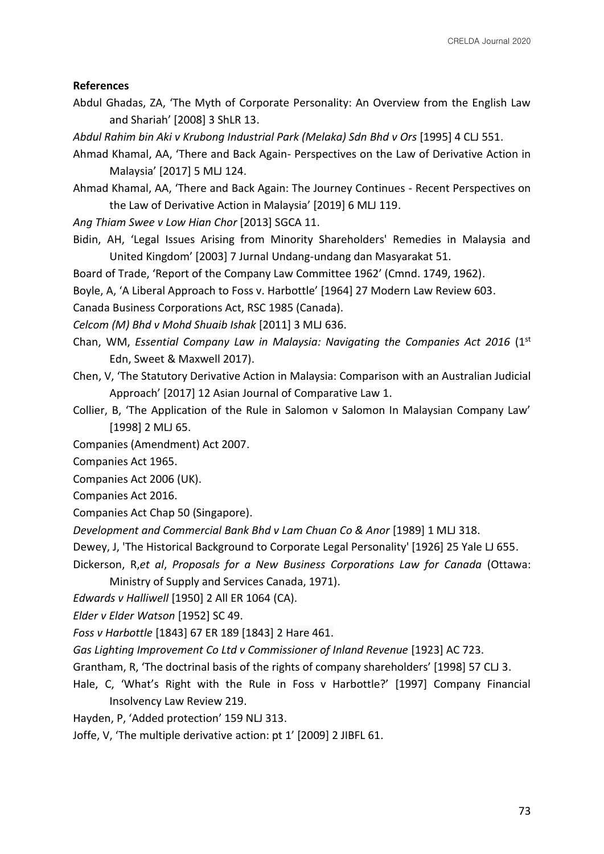#### **References**

- Abdul Ghadas, ZA, 'The Myth of Corporate Personality: An Overview from the English Law and Shariah' [2008] 3 ShLR 13.
- *Abdul Rahim bin Aki v Krubong Industrial Park (Melaka) Sdn Bhd v Ors* [1995] 4 CLJ 551.
- Ahmad Khamal, AA, 'There and Back Again- Perspectives on the Law of Derivative Action in Malaysia' [2017] 5 MLJ 124.
- Ahmad Khamal, AA, 'There and Back Again: The Journey Continues Recent Perspectives on the Law of Derivative Action in Malaysia' [2019] 6 MLJ 119.
- *Ang Thiam Swee v Low Hian Chor* [2013] SGCA 11.
- Bidin, AH, 'Legal Issues Arising from Minority Shareholders' Remedies in Malaysia and United Kingdom' [2003] 7 Jurnal Undang-undang dan Masyarakat 51.
- Board of Trade, 'Report of the Company Law Committee 1962' (Cmnd. 1749, 1962).
- Boyle, A, 'A Liberal Approach to Foss v. Harbottle' [1964] 27 Modern Law Review 603.

Canada Business Corporations Act, RSC 1985 (Canada).

- *Celcom (M) Bhd v Mohd Shuaib Ishak* [2011] 3 MLJ 636.
- Chan, WM, *Essential Company Law in Malaysia: Navigating the Companies Act 2016* (1st Edn, Sweet & Maxwell 2017).
- Chen, V, 'The Statutory Derivative Action in Malaysia: Comparison with an Australian Judicial Approach' [2017] 12 Asian Journal of Comparative Law 1.
- Collier, B, 'The Application of the Rule in Salomon v Salomon In Malaysian Company Law' [1998] 2 MLJ 65.
- Companies (Amendment) Act 2007.
- Companies Act 1965.
- Companies Act 2006 (UK).
- Companies Act 2016.
- Companies Act Chap 50 (Singapore).
- *Development and Commercial Bank Bhd v Lam Chuan Co & Anor* [1989] 1 MLJ 318.
- Dewey, J, 'The Historical Background to Corporate Legal Personality' [1926] 25 Yale LJ 655.
- Dickerson, R,*et al*, *Proposals for a New Business Corporations Law for Canada* (Ottawa:
	- Ministry of Supply and Services Canada, 1971).
- *Edwards v Halliwell* [1950] 2 All ER 1064 (CA).
- *Elder v Elder Watson* [1952] SC 49.
- *Foss v Harbottle* [1843] 67 ER 189 [1843] 2 Hare 461.
- *Gas Lighting Improvement Co Ltd v Commissioner of Inland Revenue* [1923] AC 723.
- Grantham, R, 'The doctrinal basis of the rights of company shareholders' [1998] 57 CLJ 3.
- Hale, C, 'What's Right with the Rule in Foss v Harbottle?' [1997] Company Financial Insolvency Law Review 219.
- Hayden, P, 'Added protection' 159 NLJ 313.
- Joffe, V, 'The multiple derivative action: pt 1' [2009] 2 JIBFL 61.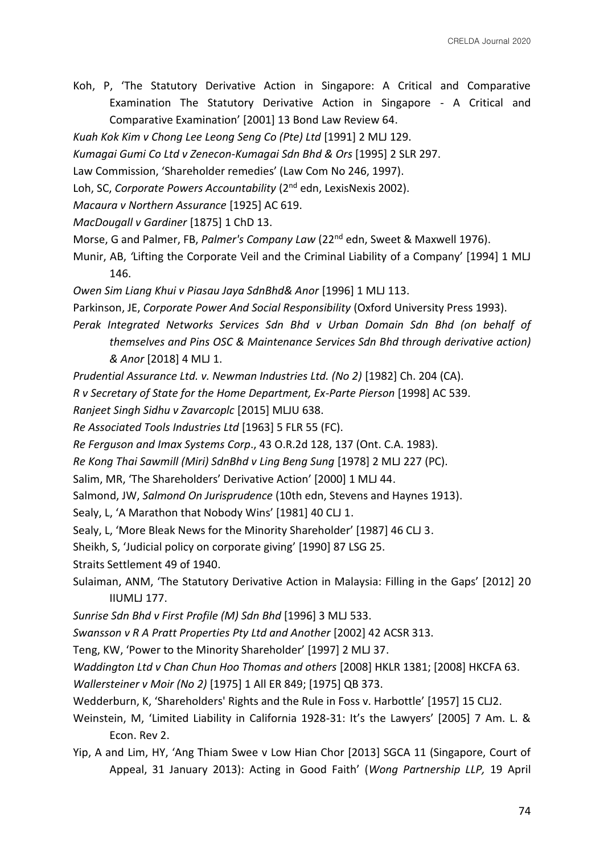Koh, P, 'The Statutory Derivative Action in Singapore: A Critical and Comparative Examination The Statutory Derivative Action in Singapore - A Critical and Comparative Examination' [2001] 13 Bond Law Review 64.

*Kuah Kok Kim v Chong Lee Leong Seng Co (Pte) Ltd* [1991] 2 MLJ 129.

*Kumagai Gumi Co Ltd v Zenecon-Kumagai Sdn Bhd & Ors* [1995] 2 SLR 297.

Law Commission, 'Shareholder remedies' (Law Com No 246, 1997).

Loh, SC, *Corporate Powers Accountability* (2nd edn, LexisNexis 2002).

*Macaura v Northern Assurance* [1925] AC 619.

*MacDougall v Gardiner* [1875] 1 ChD 13.

Morse, G and Palmer, FB, *Palmer's Company Law* (22nd edn, Sweet & Maxwell 1976).

Munir, AB, *'*Lifting the Corporate Veil and the Criminal Liability of a Company' [1994] 1 MLJ 146.

*Owen Sim Liang Khui v Piasau Jaya SdnBhd& Anor* [1996] 1 MLJ 113.

Parkinson, JE, *Corporate Power And Social Responsibility* (Oxford University Press 1993).

*Perak Integrated Networks Services Sdn Bhd v Urban Domain Sdn Bhd (on behalf of themselves and Pins OSC & Maintenance Services Sdn Bhd through derivative action) & Anor* [2018] 4 MLJ 1.

*Prudential Assurance Ltd. v. Newman Industries Ltd. (No 2)* [1982] Ch. 204 (CA).

*R v Secretary of State for the Home Department, Ex-Parte Pierson* [1998] AC 539.

*Ranjeet Singh Sidhu v Zavarcoplc* [2015] MLJU 638.

*Re Associated Tools Industries Ltd* [1963] 5 FLR 55 (FC).

*Re Ferguson and Imax Systems Corp*., 43 O.R.2d 128, 137 (Ont. C.A. 1983).

*Re Kong Thai Sawmill (Miri) SdnBhd v Ling Beng Sung* [1978] 2 MLJ 227 (PC).

Salim, MR, 'The Shareholders' Derivative Action' [2000] 1 MLJ 44.

Salmond, JW, *Salmond On Jurisprudence* (10th edn, Stevens and Haynes 1913).

Sealy, L, 'A Marathon that Nobody Wins' [1981] 40 CLJ 1.

Sealy, L, 'More Bleak News for the Minority Shareholder' [1987] 46 CLJ 3.

Sheikh, S, 'Judicial policy on corporate giving' [1990] 87 LSG 25.

Straits Settlement 49 of 1940.

Sulaiman, ANM, 'The Statutory Derivative Action in Malaysia: Filling in the Gaps' [2012] 20 IIUMLJ 177.

*Sunrise Sdn Bhd v First Profile (M) Sdn Bhd* [1996] 3 MLJ 533.

*Swansson v R A Pratt Properties Pty Ltd and Another* [2002] 42 ACSR 313.

Teng, KW, 'Power to the Minority Shareholder' [1997] 2 MLJ 37.

*Waddington Ltd v Chan Chun Hoo Thomas and others* [2008] HKLR 1381; [2008] HKCFA 63.

*Wallersteiner v Moir (No 2)* [1975] 1 All ER 849; [1975] QB 373.

Wedderburn, K, 'Shareholders' Rights and the Rule in Foss v. Harbottle' [1957] 15 CLJ2.

Weinstein, M, 'Limited Liability in California 1928-31: It's the Lawyers' [2005] 7 Am. L. & Econ. Rev 2.

Yip, A and Lim, HY, 'Ang Thiam Swee v Low Hian Chor [2013] SGCA 11 (Singapore, Court of Appeal, 31 January 2013): Acting in Good Faith' (*Wong Partnership LLP,* 19 April